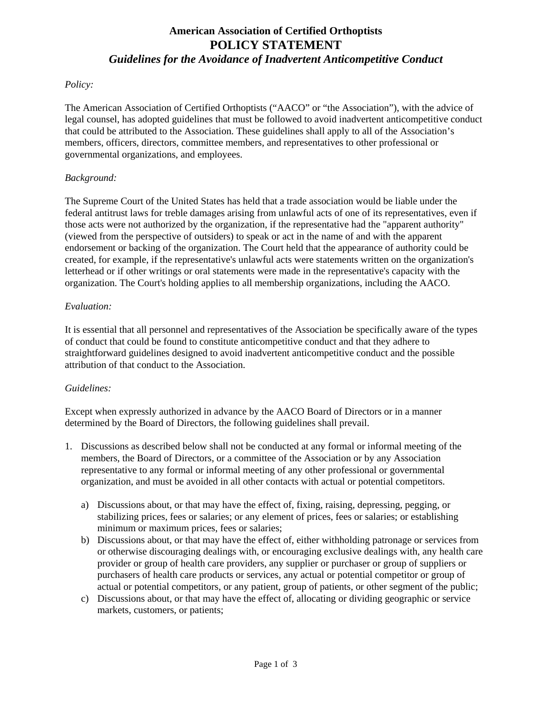# **American Association of Certified Orthoptists POLICY STATEMENT** *Guidelines for the Avoidance of Inadvertent Anticompetitive Conduct*

### *Policy:*

The American Association of Certified Orthoptists ("AACO" or "the Association"), with the advice of legal counsel, has adopted guidelines that must be followed to avoid inadvertent anticompetitive conduct that could be attributed to the Association. These guidelines shall apply to all of the Association's members, officers, directors, committee members, and representatives to other professional or governmental organizations, and employees.

#### *Background:*

The Supreme Court of the United States has held that a trade association would be liable under the federal antitrust laws for treble damages arising from unlawful acts of one of its representatives, even if those acts were not authorized by the organization, if the representative had the "apparent authority" (viewed from the perspective of outsiders) to speak or act in the name of and with the apparent endorsement or backing of the organization. The Court held that the appearance of authority could be created, for example, if the representative's unlawful acts were statements written on the organization's letterhead or if other writings or oral statements were made in the representative's capacity with the organization. The Court's holding applies to all membership organizations, including the AACO.

#### *Evaluation:*

It is essential that all personnel and representatives of the Association be specifically aware of the types of conduct that could be found to constitute anticompetitive conduct and that they adhere to straightforward guidelines designed to avoid inadvertent anticompetitive conduct and the possible attribution of that conduct to the Association.

## *Guidelines:*

Except when expressly authorized in advance by the AACO Board of Directors or in a manner determined by the Board of Directors, the following guidelines shall prevail.

- 1. Discussions as described below shall not be conducted at any formal or informal meeting of the members, the Board of Directors, or a committee of the Association or by any Association representative to any formal or informal meeting of any other professional or governmental organization, and must be avoided in all other contacts with actual or potential competitors.
	- a) Discussions about, or that may have the effect of, fixing, raising, depressing, pegging, or stabilizing prices, fees or salaries; or any element of prices, fees or salaries; or establishing minimum or maximum prices, fees or salaries;
	- b) Discussions about, or that may have the effect of, either withholding patronage or services from or otherwise discouraging dealings with, or encouraging exclusive dealings with, any health care provider or group of health care providers, any supplier or purchaser or group of suppliers or purchasers of health care products or services, any actual or potential competitor or group of actual or potential competitors, or any patient, group of patients, or other segment of the public;
	- c) Discussions about, or that may have the effect of, allocating or dividing geographic or service markets, customers, or patients;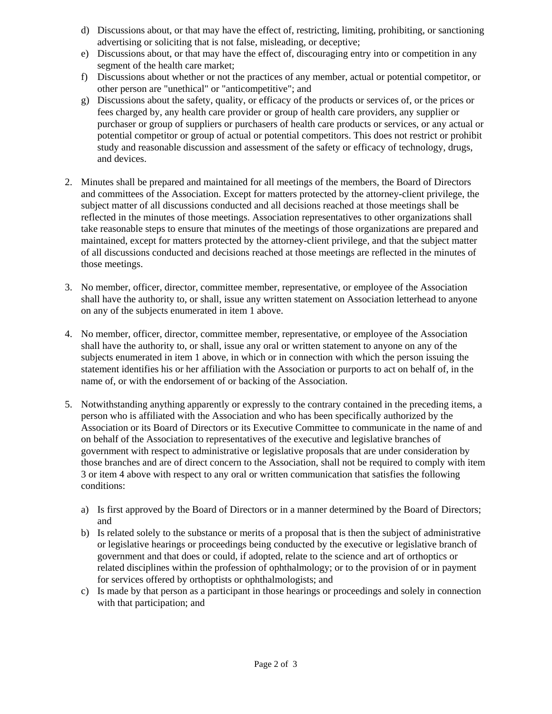- d) Discussions about, or that may have the effect of, restricting, limiting, prohibiting, or sanctioning advertising or soliciting that is not false, misleading, or deceptive;
- e) Discussions about, or that may have the effect of, discouraging entry into or competition in any segment of the health care market;
- f) Discussions about whether or not the practices of any member, actual or potential competitor, or other person are "unethical" or "anticompetitive"; and
- g) Discussions about the safety, quality, or efficacy of the products or services of, or the prices or fees charged by, any health care provider or group of health care providers, any supplier or purchaser or group of suppliers or purchasers of health care products or services, or any actual or potential competitor or group of actual or potential competitors. This does not restrict or prohibit study and reasonable discussion and assessment of the safety or efficacy of technology, drugs, and devices.
- 2. Minutes shall be prepared and maintained for all meetings of the members, the Board of Directors and committees of the Association. Except for matters protected by the attorney-client privilege, the subject matter of all discussions conducted and all decisions reached at those meetings shall be reflected in the minutes of those meetings. Association representatives to other organizations shall take reasonable steps to ensure that minutes of the meetings of those organizations are prepared and maintained, except for matters protected by the attorney-client privilege, and that the subject matter of all discussions conducted and decisions reached at those meetings are reflected in the minutes of those meetings.
- 3. No member, officer, director, committee member, representative, or employee of the Association shall have the authority to, or shall, issue any written statement on Association letterhead to anyone on any of the subjects enumerated in item 1 above.
- 4. No member, officer, director, committee member, representative, or employee of the Association shall have the authority to, or shall, issue any oral or written statement to anyone on any of the subjects enumerated in item 1 above, in which or in connection with which the person issuing the statement identifies his or her affiliation with the Association or purports to act on behalf of, in the name of, or with the endorsement of or backing of the Association.
- 5. Notwithstanding anything apparently or expressly to the contrary contained in the preceding items, a person who is affiliated with the Association and who has been specifically authorized by the Association or its Board of Directors or its Executive Committee to communicate in the name of and on behalf of the Association to representatives of the executive and legislative branches of government with respect to administrative or legislative proposals that are under consideration by those branches and are of direct concern to the Association, shall not be required to comply with item 3 or item 4 above with respect to any oral or written communication that satisfies the following conditions:
	- a) Is first approved by the Board of Directors or in a manner determined by the Board of Directors; and
	- b) Is related solely to the substance or merits of a proposal that is then the subject of administrative or legislative hearings or proceedings being conducted by the executive or legislative branch of government and that does or could, if adopted, relate to the science and art of orthoptics or related disciplines within the profession of ophthalmology; or to the provision of or in payment for services offered by orthoptists or ophthalmologists; and
	- c) Is made by that person as a participant in those hearings or proceedings and solely in connection with that participation; and